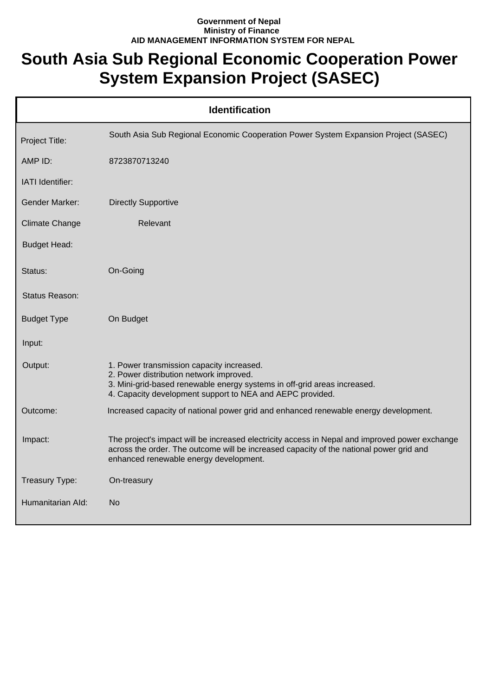## **Government of Nepal Ministry of Finance AID MANAGEMENT INFORMATION SYSTEM FOR NEPAL**

## **South Asia Sub Regional Economic Cooperation Power System Expansion Project (SASEC)**

| <b>Identification</b> |                                                                                                                                                                                                                                     |  |  |
|-----------------------|-------------------------------------------------------------------------------------------------------------------------------------------------------------------------------------------------------------------------------------|--|--|
| Project Title:        | South Asia Sub Regional Economic Cooperation Power System Expansion Project (SASEC)                                                                                                                                                 |  |  |
| AMP ID:               | 8723870713240                                                                                                                                                                                                                       |  |  |
| IATI Identifier:      |                                                                                                                                                                                                                                     |  |  |
| <b>Gender Marker:</b> | <b>Directly Supportive</b>                                                                                                                                                                                                          |  |  |
| <b>Climate Change</b> | Relevant                                                                                                                                                                                                                            |  |  |
| <b>Budget Head:</b>   |                                                                                                                                                                                                                                     |  |  |
| Status:               | On-Going                                                                                                                                                                                                                            |  |  |
| Status Reason:        |                                                                                                                                                                                                                                     |  |  |
| <b>Budget Type</b>    | On Budget                                                                                                                                                                                                                           |  |  |
| Input:                |                                                                                                                                                                                                                                     |  |  |
| Output:               | 1. Power transmission capacity increased.<br>2. Power distribution network improved.<br>3. Mini-grid-based renewable energy systems in off-grid areas increased.<br>4. Capacity development support to NEA and AEPC provided.       |  |  |
| Outcome:              | Increased capacity of national power grid and enhanced renewable energy development.                                                                                                                                                |  |  |
| Impact:               | The project's impact will be increased electricity access in Nepal and improved power exchange<br>across the order. The outcome will be increased capacity of the national power grid and<br>enhanced renewable energy development. |  |  |
| Treasury Type:        | On-treasury                                                                                                                                                                                                                         |  |  |
| Humanitarian Ald:     | No                                                                                                                                                                                                                                  |  |  |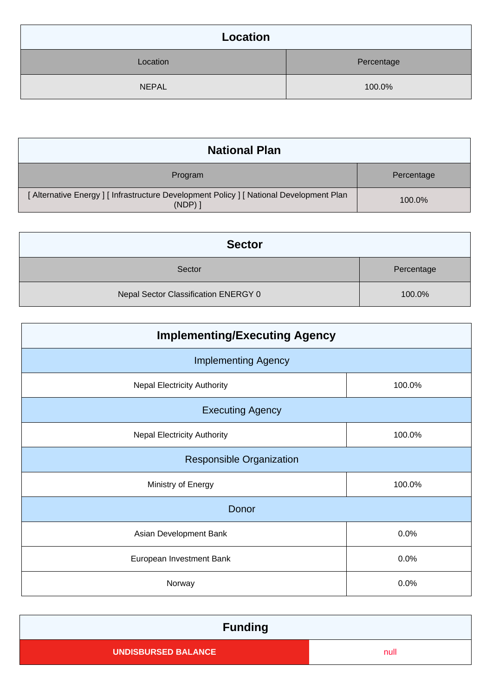| Location     |            |  |
|--------------|------------|--|
| Location     | Percentage |  |
| <b>NEPAL</b> | 100.0%     |  |

| <b>National Plan</b>                                                                             |            |  |
|--------------------------------------------------------------------------------------------------|------------|--|
| Program                                                                                          | Percentage |  |
| [Alternative Energy] [Infrastructure Development Policy] [National Development Plan<br>$(NDP)$ ] | 100.0%     |  |

| <b>Sector</b>                        |            |
|--------------------------------------|------------|
| Sector                               | Percentage |
| Nepal Sector Classification ENERGY 0 | 100.0%     |

| <b>Implementing/Executing Agency</b> |        |  |  |
|--------------------------------------|--------|--|--|
| <b>Implementing Agency</b>           |        |  |  |
| <b>Nepal Electricity Authority</b>   | 100.0% |  |  |
| <b>Executing Agency</b>              |        |  |  |
| <b>Nepal Electricity Authority</b>   | 100.0% |  |  |
| <b>Responsible Organization</b>      |        |  |  |
| Ministry of Energy                   | 100.0% |  |  |
| Donor                                |        |  |  |
| Asian Development Bank               | 0.0%   |  |  |
| European Investment Bank             | 0.0%   |  |  |
| Norway                               | 0.0%   |  |  |

| <b>Funding</b>             |      |  |
|----------------------------|------|--|
| <b>UNDISBURSED BALANCE</b> | null |  |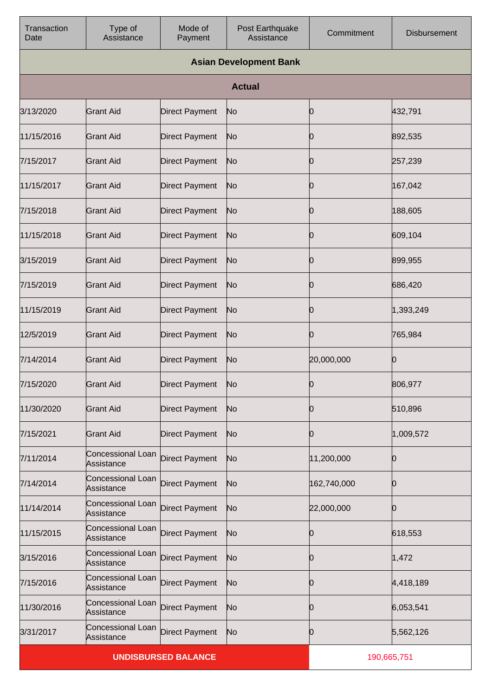| Transaction<br>Date | Type of<br>Assistance           | Mode of<br>Payment         | Post Earthquake<br>Assistance | Commitment  | <b>Disbursement</b> |  |
|---------------------|---------------------------------|----------------------------|-------------------------------|-------------|---------------------|--|
|                     | <b>Asian Development Bank</b>   |                            |                               |             |                     |  |
|                     |                                 |                            | <b>Actual</b>                 |             |                     |  |
| 3/13/2020           | <b>Grant Aid</b>                | <b>Direct Payment</b>      | No                            | Ю           | 432,791             |  |
| 11/15/2016          | <b>Grant Aid</b>                | <b>Direct Payment</b>      | No                            | Ю           | 892,535             |  |
| 7/15/2017           | <b>Grant Aid</b>                | <b>Direct Payment</b>      | No                            | 0           | 257,239             |  |
| 11/15/2017          | <b>Grant Aid</b>                | <b>Direct Payment</b>      | No                            | Ю           | 167,042             |  |
| 7/15/2018           | <b>Grant Aid</b>                | <b>Direct Payment</b>      | No                            | 0           | 188,605             |  |
| 11/15/2018          | <b>Grant Aid</b>                | <b>Direct Payment</b>      | No                            | Ю           | 609,104             |  |
| 3/15/2019           | <b>Grant Aid</b>                | <b>Direct Payment</b>      | No                            | O           | 899,955             |  |
| 7/15/2019           | <b>Grant Aid</b>                | <b>Direct Payment</b>      | No                            | Ю           | 686,420             |  |
| 11/15/2019          | <b>Grant Aid</b>                | <b>Direct Payment</b>      | No                            | 0           | 1,393,249           |  |
| 12/5/2019           | <b>Grant Aid</b>                | <b>Direct Payment</b>      | No                            | Ю           | 765,984             |  |
| 7/14/2014           | <b>Grant Aid</b>                | <b>Direct Payment</b>      | No                            | 20,000,000  | 0                   |  |
| 7/15/2020           | <b>Grant Aid</b>                | <b>Direct Payment</b>      | No                            | Ю           | 806,977             |  |
| 11/30/2020          | <b>Grant Aid</b>                | <b>Direct Payment</b>      | No                            | Ю           | 510,896             |  |
| 7/15/2021           | <b>Grant Aid</b>                | <b>Direct Payment</b>      | No                            | Ю           | 1,009,572           |  |
| 7/11/2014           | Concessional Loan<br>Assistance | <b>Direct Payment</b>      | No                            | 11,200,000  | 0                   |  |
| 7/14/2014           | Concessional Loan<br>Assistance | <b>Direct Payment</b>      | No                            | 162,740,000 | 0                   |  |
| 11/14/2014          | Concessional Loan<br>Assistance | <b>Direct Payment</b>      | No                            | 22,000,000  | 0                   |  |
| 11/15/2015          | Concessional Loan<br>Assistance | <b>Direct Payment</b>      | No                            | 0           | 618,553             |  |
| 3/15/2016           | Concessional Loan<br>Assistance | <b>Direct Payment</b>      | No                            | Ю           | 1,472               |  |
| 7/15/2016           | Concessional Loan<br>Assistance | <b>Direct Payment</b>      | No                            | Ŋ           | 4,418,189           |  |
| 11/30/2016          | Concessional Loan<br>Assistance | <b>Direct Payment</b>      | No                            | Ю           | 6,053,541           |  |
| 3/31/2017           | Concessional Loan<br>Assistance | <b>Direct Payment</b>      | No                            | Ŋ           | 5,562,126           |  |
|                     |                                 | <b>UNDISBURSED BALANCE</b> |                               |             | 190,665,751         |  |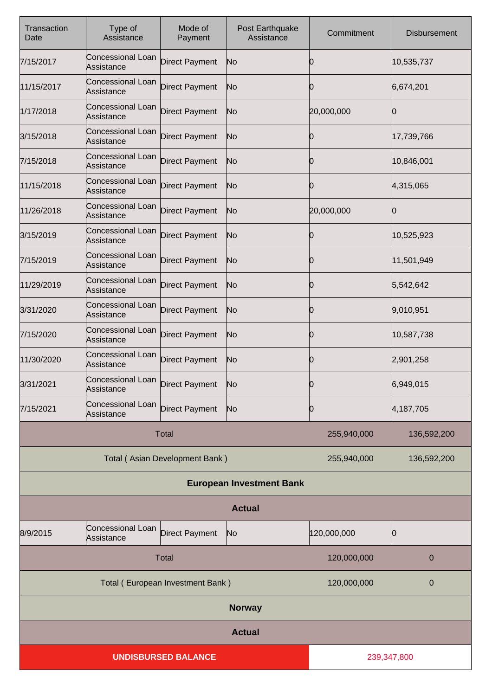| Transaction<br>Date              | Type of<br>Assistance           | Mode of<br>Payment             | Post Earthquake<br>Assistance   | Commitment  | <b>Disbursement</b> |
|----------------------------------|---------------------------------|--------------------------------|---------------------------------|-------------|---------------------|
| 7/15/2017                        | Concessional Loan<br>Assistance | <b>Direct Payment</b>          | No                              | 10          | 10,535,737          |
| 11/15/2017                       | Concessional Loan<br>Assistance | <b>Direct Payment</b>          | No                              | 10          | 6,674,201           |
| 1/17/2018                        | Concessional Loan<br>Assistance | <b>Direct Payment</b>          | No                              | 20,000,000  |                     |
| 3/15/2018                        | Concessional Loan<br>Assistance | <b>Direct Payment</b>          | No                              | 10          | 17,739,766          |
| 7/15/2018                        | Concessional Loan<br>Assistance | <b>Direct Payment</b>          | No                              | 10          | 10,846,001          |
| 11/15/2018                       | Concessional Loan<br>Assistance | <b>Direct Payment</b>          | No                              | 10          | 4,315,065           |
| 11/26/2018                       | Concessional Loan<br>Assistance | <b>Direct Payment</b>          | No                              | 20,000,000  |                     |
| 3/15/2019                        | Concessional Loan<br>Assistance | <b>Direct Payment</b>          | No                              | 10          | 10,525,923          |
| 7/15/2019                        | Concessional Loan<br>Assistance | <b>Direct Payment</b>          | No                              | Ю           | 11,501,949          |
| 11/29/2019                       | Concessional Loan<br>Assistance | <b>Direct Payment</b>          | No                              | 10          | 5,542,642           |
| 3/31/2020                        | Concessional Loan<br>Assistance | <b>Direct Payment</b>          | No                              | Ю           | 9,010,951           |
| 7/15/2020                        | Concessional Loan<br>Assistance | <b>Direct Payment</b>          | No                              | 10          | 10,587,738          |
| 11/30/2020                       | Concessional Loan<br>Assistance | <b>Direct Payment</b>          | No                              | 0           | 2,901,258           |
| 3/31/2021                        | Concessional Loan<br>Assistance | Direct Payment                 | N <sub>o</sub>                  | n           | 6,949,015           |
| 7/15/2021                        | Concessional Loan<br>Assistance | <b>Direct Payment</b>          | N <sub>o</sub>                  | 0           | 4,187,705           |
|                                  |                                 | Total                          |                                 | 255,940,000 | 136,592,200         |
|                                  |                                 | Total (Asian Development Bank) |                                 | 255,940,000 | 136,592,200         |
|                                  |                                 |                                | <b>European Investment Bank</b> |             |                     |
| <b>Actual</b>                    |                                 |                                |                                 |             |                     |
| 8/9/2015                         | Concessional Loan<br>Assistance | <b>Direct Payment</b>          | N <sub>o</sub>                  | 120,000,000 | Ю                   |
| <b>Total</b>                     |                                 |                                | 120,000,000                     | 0           |                     |
| Total (European Investment Bank) |                                 |                                | 120,000,000                     | 0           |                     |
| <b>Norway</b>                    |                                 |                                |                                 |             |                     |
|                                  |                                 |                                | <b>Actual</b>                   |             |                     |
|                                  |                                 | <b>UNDISBURSED BALANCE</b>     |                                 | 239,347,800 |                     |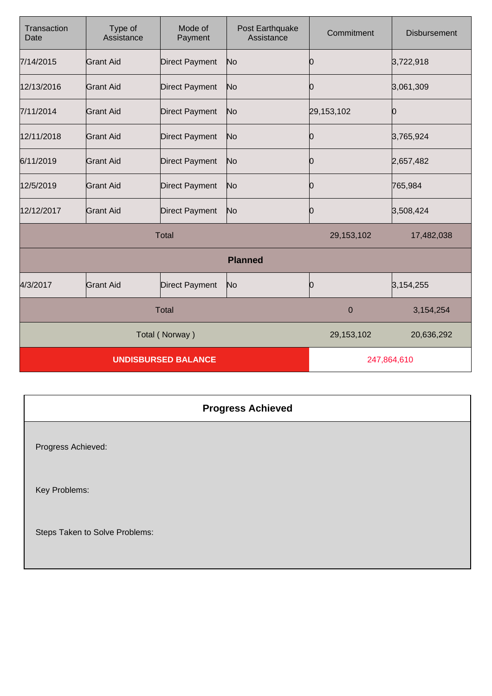| Transaction<br>Date        | Type of<br>Assistance | Mode of<br>Payment    | Post Earthquake<br>Assistance | Commitment    | <b>Disbursement</b> |
|----------------------------|-----------------------|-----------------------|-------------------------------|---------------|---------------------|
| 7/14/2015                  | <b>Grant Aid</b>      | <b>Direct Payment</b> | No                            | Ю             | 3,722,918           |
| 12/13/2016                 | <b>Grant Aid</b>      | <b>Direct Payment</b> | No                            | О             | 3,061,309           |
| 7/11/2014                  | <b>Grant Aid</b>      | Direct Payment        | No                            | 29,153,102    | 0                   |
| 12/11/2018                 | <b>Grant Aid</b>      | <b>Direct Payment</b> | No                            | Ю             | 3,765,924           |
| 6/11/2019                  | <b>Grant Aid</b>      | <b>Direct Payment</b> | No                            | Ю             | 2,657,482           |
| 12/5/2019                  | <b>Grant Aid</b>      | Direct Payment        | No                            | 0             | 765,984             |
| 12/12/2017                 | <b>Grant Aid</b>      | Direct Payment        | No                            | 10            | 3,508,424           |
| <b>Total</b>               |                       |                       | 29, 153, 102                  | 17,482,038    |                     |
| <b>Planned</b>             |                       |                       |                               |               |                     |
| 4/3/2017                   | <b>Grant Aid</b>      | <b>Direct Payment</b> | No                            | <sup>10</sup> | 3,154,255           |
| <b>Total</b>               |                       |                       | $\mathbf 0$                   | 3,154,254     |                     |
| Total (Norway)             |                       |                       | 29,153,102                    | 20,636,292    |                     |
| <b>UNDISBURSED BALANCE</b> |                       |                       | 247,864,610                   |               |                     |

## **Progress Achieved** Progress Achieved: Key Problems: Steps Taken to Solve Problems: